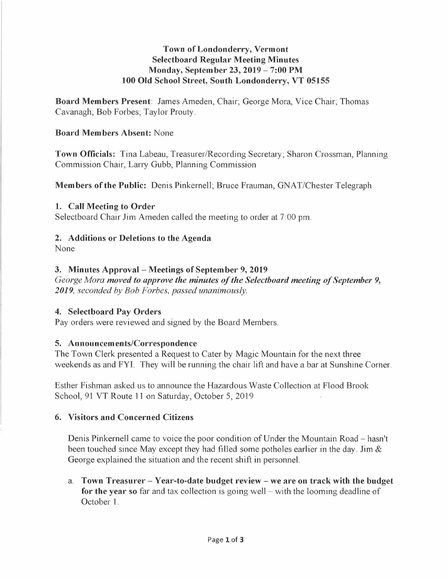# **Town of Londonderry, Vermont Selectboard Regular Meeting Minutes Monday, September 23, 2019- 7:00 PM 100 Old School Street, South Londonderry, VT 05155**

**Board Members Present:** James Ameden, Chair; George Mora, Vice Chair; Thomas Cavanagh; Bob Forbes; Taylor Prouty.

### **Board Members Absent:** None

**Town Officials:** Tina Labeau, Treasurer/Recording Secretary; Sharon Crossman, Planning Commission Chair, Larry Gubb, Planning Commission

**Members of the Public:** Denis Pinkernell; Bruce Frauman, GNAT/Chester Telegraph

### **1. Call Meeting to Order**

Selectboard Chair Jim Ameden called the meeting to order at 7:00 pm.

### **2. Additions or Deletions to the Agenda**

None

# **3. Minutes Approval-Meetings of September 9, 2019**

*George Mora moved to approve the minutes of the Selectboard meeting of September 9, 2019, seconded by Bob Forbes, passed unanimously.* 

# **4. Selectboard Pay Orders**

Pay orders were reviewed and signed by the Board Members.

# **5. Announcements/Correspondence**

The Town Clerk presented a Request to Cater by Magic Mountain for the next three weekends as and FYI. They will be running the chair lift and have a bar at Sunshine Corner.

Esther Fishman asked us to announce the Hazardous Waste Collection at Flood Brook School, 91 VT Route 11 on Saturday, October 5, 2019

# **6. Visitors and Concerned Citizens**

Denis Pinkernell came to voice the poor condition of Under the Mountain Road - hasn't been touched since May except they had filled some potholes earlier in the day. Jim  $\&$ George explained the situation and the recent shift in personnel.

a. **Town Treasurer - Year-to-date budget review - we are on track with the budget**  for the year so far and tax collection is going well – with the looming deadline of October 1.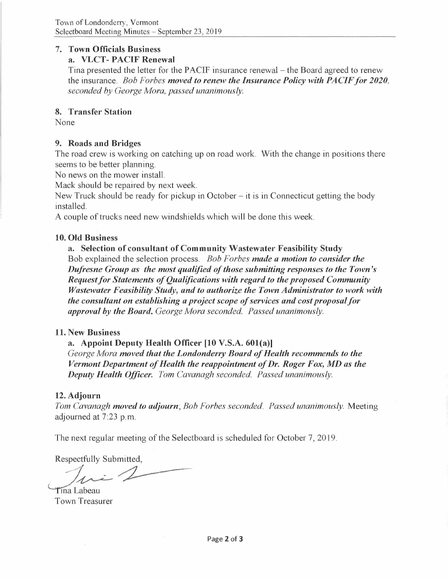### **7. Town Officials Business**

# **a. VLCT- PACIF Renewal**

Tina presented the letter for the PACIF insurance renewal – the Board agreed to renew the insurance. *Bob Forbes moved to renew the Insurance Policy with PACIF for 2020, seconded by George Mora, passed unanimously.* 

# **8. Transfer Station**

None

# **9. Roads and Bridges**

The road crew is working on catching up on road work. With the change in positions there seems to be better planning.

No news on the mower install.

Mack should be repaired by next week.

New Truck should be ready for pickup in October - it is in Connecticut getting the body installed.

A couple of trucks need new windshields which will be done this week.

# **10. Old Business**

**a. Selection of consultant of Community Wastewater Feasibility Study**  Bob explained the selection process. *Bob Forbes made a motion to consider the Dufresne Group as the most qualified of those submitting responses to the Town 's Request for Statements of Qualifications with regard to the proposed Community Wastewater Feasibility Study, and to authorize the Town Administrator to work with the consultant on establishing a project scope of services and cost proposal for approval by the Board. George Mora seconded. Passed unanimously.* 

#### **11. New Business**

# **a. Appoint Deputy Health Officer [10 V.S.A. 601(a)]**

*George Mora moved that the Londonderry Board of Health recommends to the Vermont Department of Health the reappointment of Dr. Roger Fox, MD as the Deputy Health Officer. Tom Cavanagh seconded. Passed unanimously.* 

# **12. Adjourn**

*Tom Cavanagh moved to adjourn; Bob Forbes seconded. Passed unanimously.* Meeting adjourned at 7:23 p.m.

Respectfully Submitted,

The next regular meeting of the Selectboard is scheduled for October 7, 2019.<br> *Nespectfully Submitted,*<br> *1ma Labeau***<br>
Town Treasurer** *Deputy Health Officer. Tom Cavand*<br>Adjourn<br>*m Cavanagh moved to adjourn*; *Bob I*<br>ourned at 7:23 p.m.<br>e next regular meeting of the Selectbo<br>spectfully Submitted,<br>a Labeau<br>wn Treasurer

Town Treasurer